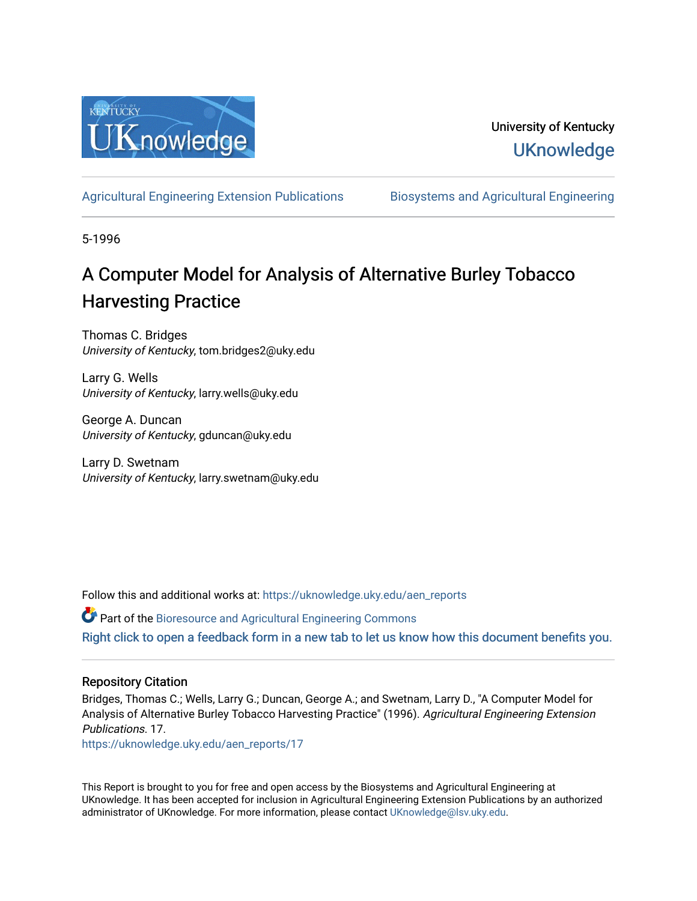

## University of Kentucky **UKnowledge**

[Agricultural Engineering Extension Publications](https://uknowledge.uky.edu/aen_reports) [Biosystems and Agricultural Engineering](https://uknowledge.uky.edu/bae) 

5-1996

## A Computer Model for Analysis of Alternative Burley Tobacco Harvesting Practice

Thomas C. Bridges University of Kentucky, tom.bridges2@uky.edu

Larry G. Wells University of Kentucky, larry.wells@uky.edu

George A. Duncan University of Kentucky, gduncan@uky.edu

Larry D. Swetnam University of Kentucky, larry.swetnam@uky.edu

Follow this and additional works at: [https://uknowledge.uky.edu/aen\\_reports](https://uknowledge.uky.edu/aen_reports?utm_source=uknowledge.uky.edu%2Faen_reports%2F17&utm_medium=PDF&utm_campaign=PDFCoverPages)

Part of the [Bioresource and Agricultural Engineering Commons](http://network.bepress.com/hgg/discipline/1056?utm_source=uknowledge.uky.edu%2Faen_reports%2F17&utm_medium=PDF&utm_campaign=PDFCoverPages) [Right click to open a feedback form in a new tab to let us know how this document benefits you.](https://uky.az1.qualtrics.com/jfe/form/SV_9mq8fx2GnONRfz7)

#### Repository Citation

Bridges, Thomas C.; Wells, Larry G.; Duncan, George A.; and Swetnam, Larry D., "A Computer Model for Analysis of Alternative Burley Tobacco Harvesting Practice" (1996). Agricultural Engineering Extension Publications. 17.

[https://uknowledge.uky.edu/aen\\_reports/17](https://uknowledge.uky.edu/aen_reports/17?utm_source=uknowledge.uky.edu%2Faen_reports%2F17&utm_medium=PDF&utm_campaign=PDFCoverPages) 

This Report is brought to you for free and open access by the Biosystems and Agricultural Engineering at UKnowledge. It has been accepted for inclusion in Agricultural Engineering Extension Publications by an authorized administrator of UKnowledge. For more information, please contact [UKnowledge@lsv.uky.edu](mailto:UKnowledge@lsv.uky.edu).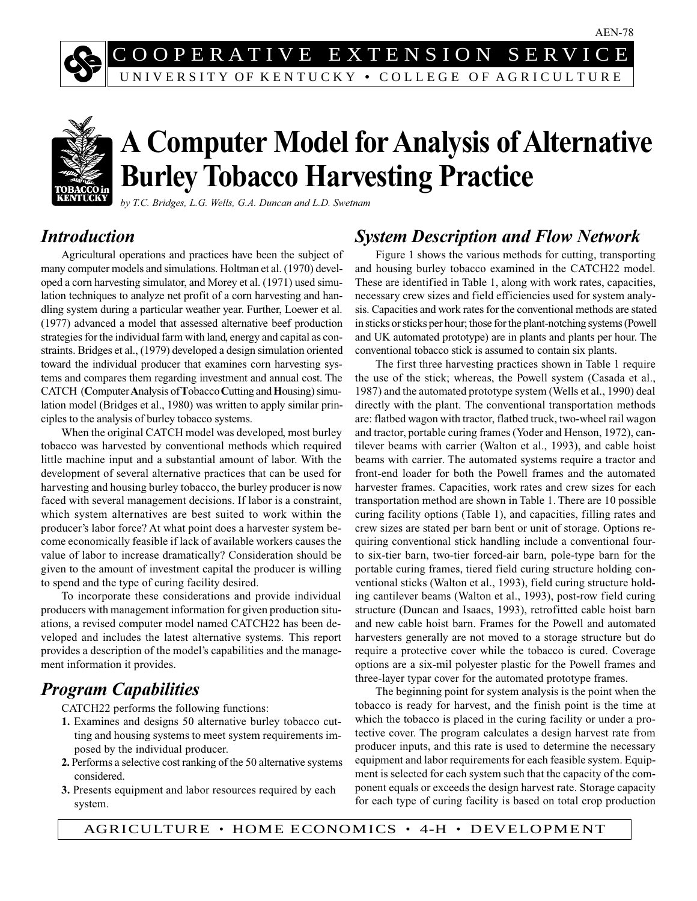AEN-78

## OOPERATIVE EXTENSION SERVIC U N I V E R S I T Y O F K E N T U C K Y · COLL E G E O F A G R I C U L T U R E



# **A Computer Model for Analysis of Alternative Burley Tobacco Harvesting Practice**

by T.C. Bridges, L.G. Wells, G.A. Duncan and L.D. Swetnam

## Introduction

Agricultural operations and practices have been the subject of many computer models and simulations. Holtman et al. (1970) developed a corn harvesting simulator, and Morey et al. (1971) used simulation techniques to analyze net profit of a corn harvesting and handling system during a particular weather year. Further, Loewer et al. (1977) advanced a model that assessed alternative beef production strategies for the individual farm with land, energy and capital as constraints. Bridges et al., (1979) developed a design simulation oriented toward the individual producer that examines corn harvesting systems and compares them regarding investment and annual cost. The CATCH (**C**omputer **A**nalysis of **T**obacco **C**utting and **H**ousing) simulation model (Bridges et al., 1980) was written to apply similar principles to the analysis of burley tobacco systems.

When the original CATCH model was developed, most burley tobacco was harvested by conventional methods which required little machine input and a substantial amount of labor. With the development of several alternative practices that can be used for harvesting and housing burley tobacco, the burley producer is now faced with several management decisions. If labor is a constraint, which system alternatives are best suited to work within the producer's labor force? At what point does a harvester system become economically feasible if lack of available workers causes the value of labor to increase dramatically? Consideration should be given to the amount of investment capital the producer is willing to spend and the type of curing facility desired.

To incorporate these considerations and provide individual producers with management information for given production situations, a revised computer model named CATCH22 has been developed and includes the latest alternative systems. This report provides a description of the model's capabilities and the management information it provides.

## Program Capabilities

CATCH22 performs the following functions:

- **1.** Examines and designs 50 alternative burley tobacco cutting and housing systems to meet system requirements imposed by the individual producer.
- **2.** Performs a selective cost ranking of the 50 alternative systems considered.
- **3.** Presents equipment and labor resources required by each system.

## System Description and Flow Network

Figure 1 shows the various methods for cutting, transporting and housing burley tobacco examined in the CATCH22 model. These are identified in Table 1, along with work rates, capacities, necessary crew sizes and field efficiencies used for system analysis. Capacities and work rates for the conventional methods are stated in sticks or sticks per hour; those for the plant-notching systems (Powell and UK automated prototype) are in plants and plants per hour. The conventional tobacco stick is assumed to contain six plants.

The first three harvesting practices shown in Table 1 require the use of the stick; whereas, the Powell system (Casada et al., 1987) and the automated prototype system (Wells et al., 1990) deal directly with the plant. The conventional transportation methods are: flatbed wagon with tractor, flatbed truck, two-wheel rail wagon and tractor, portable curing frames (Yoder and Henson, 1972), cantilever beams with carrier (Walton et al., 1993), and cable hoist beams with carrier. The automated systems require a tractor and front-end loader for both the Powell frames and the automated harvester frames. Capacities, work rates and crew sizes for each transportation method are shown in Table 1. There are 10 possible curing facility options (Table 1), and capacities, filling rates and crew sizes are stated per barn bent or unit of storage. Options requiring conventional stick handling include a conventional fourto six-tier barn, two-tier forced-air barn, pole-type barn for the portable curing frames, tiered field curing structure holding conventional sticks (Walton et al., 1993), field curing structure holding cantilever beams (Walton et al., 1993), post-row field curing structure (Duncan and Isaacs, 1993), retrofitted cable hoist barn and new cable hoist barn. Frames for the Powell and automated harvesters generally are not moved to a storage structure but do require a protective cover while the tobacco is cured. Coverage options are a six-mil polyester plastic for the Powell frames and three-layer typar cover for the automated prototype frames.

The beginning point for system analysis is the point when the tobacco is ready for harvest, and the finish point is the time at which the tobacco is placed in the curing facility or under a protective cover. The program calculates a design harvest rate from producer inputs, and this rate is used to determine the necessary equipment and labor requirements for each feasible system. Equipment is selected for each system such that the capacity of the component equals or exceeds the design harvest rate. Storage capacity for each type of curing facility is based on total crop production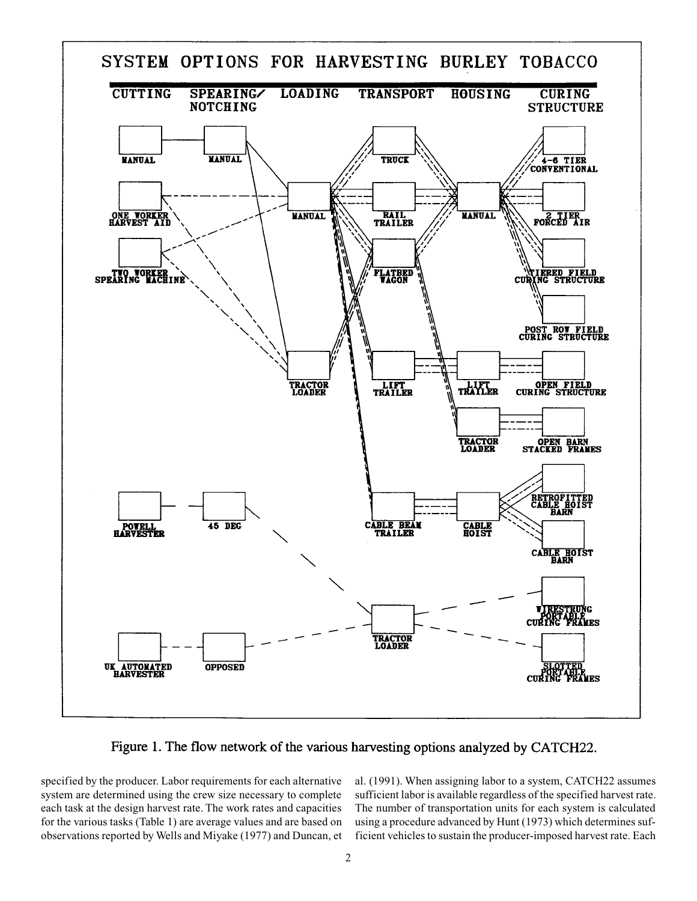

Figure 1. The flow network of the various harvesting options analyzed by CATCH22.

specified by the producer. Labor requirements for each alternative system are determined using the crew size necessary to complete each task at the design harvest rate. The work rates and capacities for the various tasks (Table 1) are average values and are based on observations reported by Wells and Miyake (1977) and Duncan, et al. (1991). When assigning labor to a system, CATCH22 assumes sufficient labor is available regardless of the specified harvest rate. The number of transportation units for each system is calculated using a procedure advanced by Hunt (1973) which determines sufficient vehicles to sustain the producer-imposed harvest rate. Each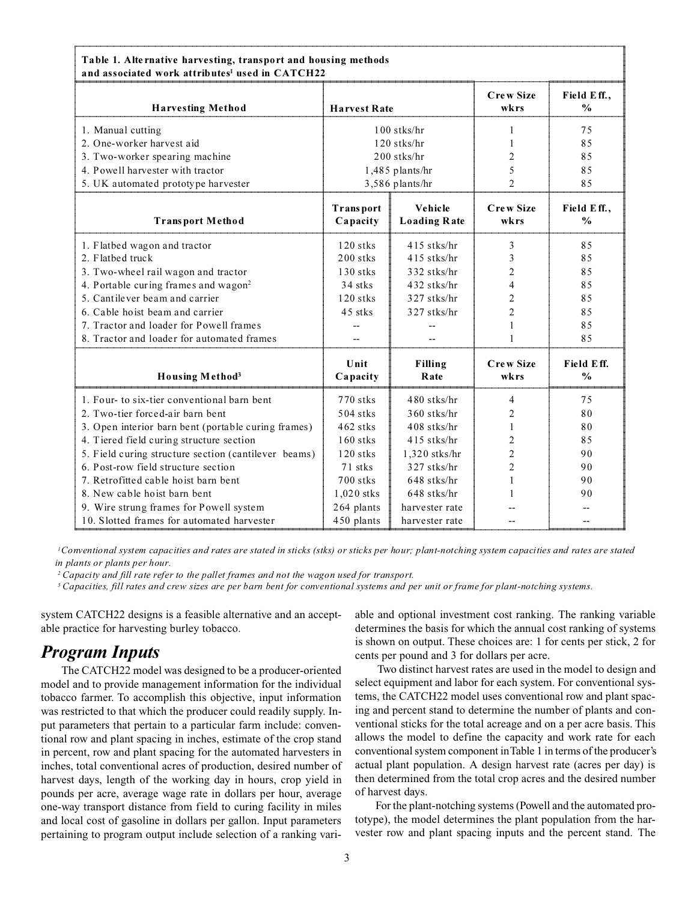| <b>Harvesting Method</b>                             | <b>Harvest Rate</b> |                     | Crew Size<br>wkrs        | Field Eff.,<br>$\frac{0}{0}$ |
|------------------------------------------------------|---------------------|---------------------|--------------------------|------------------------------|
| 1. Manual cutting                                    |                     | $100$ stks/hr       | 1                        | 75                           |
| 2. One-worker harvest aid                            |                     | $120$ stks/hr       |                          | 85                           |
| 3. Two-worker spearing machine                       |                     | $200$ stks/hr       | $\overline{c}$           | 85                           |
| 4. Powell harvester with tractor                     |                     | 1,485 plants/hr     | 5                        | 85                           |
| 5. UK automated prototype harvester                  |                     | 3,586 plants/hr     | $\overline{c}$           | 85                           |
|                                                      | <b>Transport</b>    | Vehicle             | <b>Crew Size</b><br>wkrs | Field Eff.,<br>$\%$          |
| <b>Transport Method</b>                              | Capacity            | <b>Loading Rate</b> |                          |                              |
| 1. Flatbed wagon and tractor                         | $120$ stks          | $415$ stks/hr       | 3                        | 85                           |
| 2. Flathed truck                                     | $200$ stks          | $415$ stks/hr       | 3                        | 85                           |
| 3. Two-wheel rail wagon and tractor                  | $130$ stks          | 332 stks/hr         | $\overline{c}$           | 85                           |
| 4. Portable curing frames and wagon <sup>2</sup>     | 34 stks             | 432 stks/hr         | 4                        | 85                           |
| 5. Cantilever beam and carrier                       | $120$ stks          | 327 stks/hr         | 2                        | 85                           |
| 6. Cable hoist beam and carrier                      | $45$ stks           | 327 stks/hr         | $\overline{c}$           | 85                           |
| 7. Tractor and loader for Powell frames              |                     |                     | 1                        | 85                           |
| 8. Tractor and loader for automated frames           | $\overline{a}$      |                     | 1                        | 85                           |
| Housing Method <sup>3</sup>                          | Unit<br>Capacity    | Filling<br>Rate     | <b>Crew Size</b><br>wkrs | Field Eff.<br>$\frac{0}{0}$  |
| 1. Four- to six-tier conventional barn bent          | 770 stks            | $480$ stks/hr       | 4                        | 75                           |
| 2. Two-tier forced-air barn bent                     | $504$ stks          | $360$ stks/hr       | 2                        | 80                           |
| 3. Open interior barn bent (portable curing frames)  | $462$ stks          | $408$ stks/hr       | 1                        | 80                           |
| 4. Tiered field curing structure section             | $160$ stks          | $415$ stks/hr       | $\overline{c}$           | 85                           |
| 5. Field curing structure section (cantilever beams) | $120$ stks          | $1,320$ stks/hr     | $\overline{c}$           | 90                           |
| 6. Post-row field structure section                  | 71 stks             | 327 stks/hr         | $\overline{c}$           | 90                           |
| 7. Retrofitted cable hoist barn bent                 | $700$ stks          | $648$ stks/hr       | 1                        | 90                           |
| 8. New cable hoist barn bent                         | $1,020$ stks        | $648$ stks/hr       | 1                        | 90                           |
| 9. Wire strung frames for Powell system              | 264 plants          | harvester rate      |                          |                              |
| 10. Slotted frames for automated harvester           | 450 plants          | harvester rate      |                          | $-$                          |

AAAA AAAAAAAA AAAAAAAA AAAAAAAA AAAAAAAA AAAAAAAA AAAAAAAA AAAAAAAA AAAAAAAA AAAAAAAA AAAAAAAA AAAAAAAA AAAAAAAA AAAAAAAA AAAAAAAA AAAAAAAA AAAAAAAA AAAAAAAA AAAAAAAA AAAAAAAA AAAAAAAA AAAAAAAA AAAAAAAA AAAAAAAA AAAAAAAA AAAAAAAA AAAAAAAA AAAAAAAA AAAAAAAA AAAAAAAA AAAAAAAA AAAAAAAA AAAAAAAA AAAAAAAA AAAAAAAA AAAAAAAA AAAAAAAA AAAAAAAA AAAAAAAA AAAAAAAA AAAAAAAA AAAAAAAA AAAAAAAA AAAAAAAA AAAAAAAA AAAAAAAA AAAAAAAA AAAAAAAA AAAAAAAA AAAAAAAA AAAAAAAA AAAAAAAA AAAAAAAA AAAAAAAA AAAAAAAA AAAAAAAA AAAAAAAA AAAAAAAA AAAAAAAA AAAAAAAA AAAAAAAA AAAAAAAA AAAAAAAA AAAAAAAA

 $1$ Conventional system capacities and rates are stated in sticks (stks) or sticks per hour; plant-notching system capacities and rates are stated in plants or plants per hour.

<sup>2</sup> Capacity and fill rate refer to the pallet frames and not the wagon used for transport.

<sup>3</sup> Capacities, fill rates and crew sizes are per barn bent for conventional systems and per unit or frame for plant-notching systems.

system CATCH22 designs is a feasible alternative and an acceptable practice for harvesting burley tobacco.

#### Program Inputs

AAAAAA AAAA

The CATCH22 model was designed to be a producer-oriented model and to provide management information for the individual tobacco farmer. To accomplish this objective, input information was restricted to that which the producer could readily supply. Input parameters that pertain to a particular farm include: conventional row and plant spacing in inches, estimate of the crop stand in percent, row and plant spacing for the automated harvesters in inches, total conventional acres of production, desired number of harvest days, length of the working day in hours, crop yield in pounds per acre, average wage rate in dollars per hour, average one-way transport distance from field to curing facility in miles and local cost of gasoline in dollars per gallon. Input parameters pertaining to program output include selection of a ranking variable and optional investment cost ranking. The ranking variable determines the basis for which the annual cost ranking of systems is shown on output. These choices are: 1 for cents per stick, 2 for cents per pound and 3 for dollars per acre.

**AAA** AA AA AA AA AAA AA

 Two distinct harvest rates are used in the model to design and select equipment and labor for each system. For conventional systems, the CATCH22 model uses conventional row and plant spacing and percent stand to determine the number of plants and conventional sticks for the total acreage and on a per acre basis. This allows the model to define the capacity and work rate for each conventional system component in Table 1 in terms of the producer's actual plant population. A design harvest rate (acres per day) is then determined from the total crop acres and the desired number of harvest days.

For the plant-notching systems (Powell and the automated prototype), the model determines the plant population from the harvester row and plant spacing inputs and the percent stand. The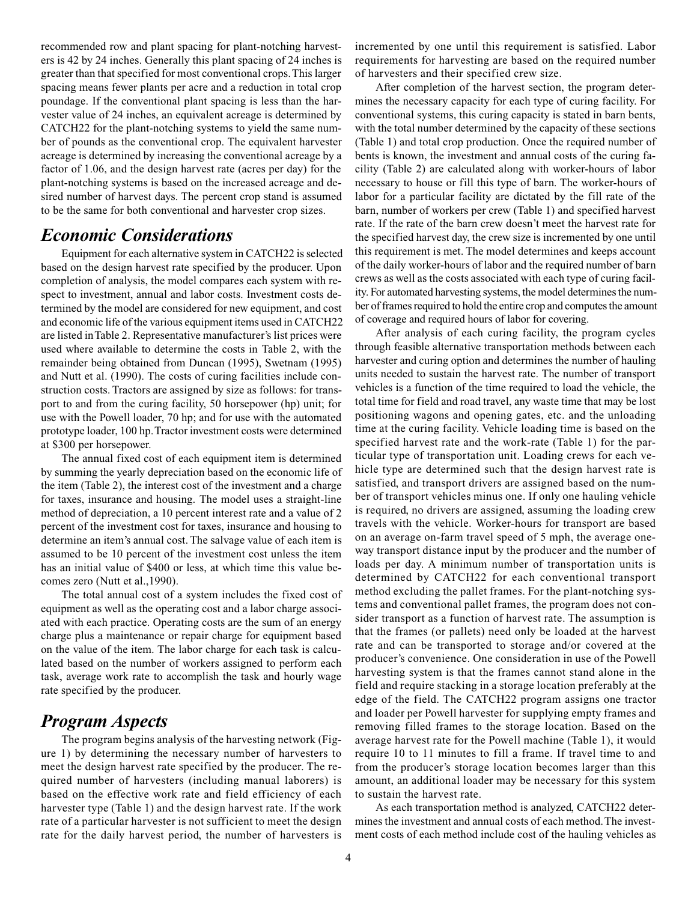recommended row and plant spacing for plant-notching harvesters is 42 by 24 inches. Generally this plant spacing of 24 inches is greater than that specified for most conventional crops. This larger spacing means fewer plants per acre and a reduction in total crop poundage. If the conventional plant spacing is less than the harvester value of 24 inches, an equivalent acreage is determined by CATCH22 for the plant-notching systems to yield the same number of pounds as the conventional crop. The equivalent harvester acreage is determined by increasing the conventional acreage by a factor of 1.06, and the design harvest rate (acres per day) for the plant-notching systems is based on the increased acreage and desired number of harvest days. The percent crop stand is assumed to be the same for both conventional and harvester crop sizes.

#### Economic Considerations

Equipment for each alternative system in CATCH22 is selected based on the design harvest rate specified by the producer. Upon completion of analysis, the model compares each system with respect to investment, annual and labor costs. Investment costs determined by the model are considered for new equipment, and cost and economic life of the various equipment items used in CATCH22 are listed in Table 2. Representative manufacturer's list prices were used where available to determine the costs in Table 2, with the remainder being obtained from Duncan (1995), Swetnam (1995) and Nutt et al. (1990). The costs of curing facilities include construction costs. Tractors are assigned by size as follows: for transport to and from the curing facility, 50 horsepower (hp) unit; for use with the Powell loader, 70 hp; and for use with the automated prototype loader, 100 hp. Tractor investment costs were determined at \$300 per horsepower.

The annual fixed cost of each equipment item is determined by summing the yearly depreciation based on the economic life of the item (Table 2), the interest cost of the investment and a charge for taxes, insurance and housing. The model uses a straight-line method of depreciation, a 10 percent interest rate and a value of 2 percent of the investment cost for taxes, insurance and housing to determine an item's annual cost. The salvage value of each item is assumed to be 10 percent of the investment cost unless the item has an initial value of \$400 or less, at which time this value becomes zero (Nutt et al.,1990).

The total annual cost of a system includes the fixed cost of equipment as well as the operating cost and a labor charge associated with each practice. Operating costs are the sum of an energy charge plus a maintenance or repair charge for equipment based on the value of the item. The labor charge for each task is calculated based on the number of workers assigned to perform each task, average work rate to accomplish the task and hourly wage rate specified by the producer.

#### Program Aspects

The program begins analysis of the harvesting network (Figure 1) by determining the necessary number of harvesters to meet the design harvest rate specified by the producer. The required number of harvesters (including manual laborers) is based on the effective work rate and field efficiency of each harvester type (Table 1) and the design harvest rate. If the work rate of a particular harvester is not sufficient to meet the design rate for the daily harvest period, the number of harvesters is incremented by one until this requirement is satisfied. Labor requirements for harvesting are based on the required number of harvesters and their specified crew size.

After completion of the harvest section, the program determines the necessary capacity for each type of curing facility. For conventional systems, this curing capacity is stated in barn bents, with the total number determined by the capacity of these sections (Table 1) and total crop production. Once the required number of bents is known, the investment and annual costs of the curing facility (Table 2) are calculated along with worker-hours of labor necessary to house or fill this type of barn. The worker-hours of labor for a particular facility are dictated by the fill rate of the barn, number of workers per crew (Table 1) and specified harvest rate. If the rate of the barn crew doesn't meet the harvest rate for the specified harvest day, the crew size is incremented by one until this requirement is met. The model determines and keeps account of the daily worker-hours of labor and the required number of barn crews as well as the costs associated with each type of curing facility. For automated harvesting systems, the model determines the number of frames required to hold the entire crop and computes the amount of coverage and required hours of labor for covering.

After analysis of each curing facility, the program cycles through feasible alternative transportation methods between each harvester and curing option and determines the number of hauling units needed to sustain the harvest rate. The number of transport vehicles is a function of the time required to load the vehicle, the total time for field and road travel, any waste time that may be lost positioning wagons and opening gates, etc. and the unloading time at the curing facility. Vehicle loading time is based on the specified harvest rate and the work-rate (Table 1) for the particular type of transportation unit. Loading crews for each vehicle type are determined such that the design harvest rate is satisfied, and transport drivers are assigned based on the number of transport vehicles minus one. If only one hauling vehicle is required, no drivers are assigned, assuming the loading crew travels with the vehicle. Worker-hours for transport are based on an average on-farm travel speed of 5 mph, the average oneway transport distance input by the producer and the number of loads per day. A minimum number of transportation units is determined by CATCH22 for each conventional transport method excluding the pallet frames. For the plant-notching systems and conventional pallet frames, the program does not consider transport as a function of harvest rate. The assumption is that the frames (or pallets) need only be loaded at the harvest rate and can be transported to storage and/or covered at the producer's convenience. One consideration in use of the Powell harvesting system is that the frames cannot stand alone in the field and require stacking in a storage location preferably at the edge of the field. The CATCH22 program assigns one tractor and loader per Powell harvester for supplying empty frames and removing filled frames to the storage location. Based on the average harvest rate for the Powell machine (Table 1), it would require 10 to 11 minutes to fill a frame. If travel time to and from the producer's storage location becomes larger than this amount, an additional loader may be necessary for this system to sustain the harvest rate.

As each transportation method is analyzed, CATCH22 determines the investment and annual costs of each method. The investment costs of each method include cost of the hauling vehicles as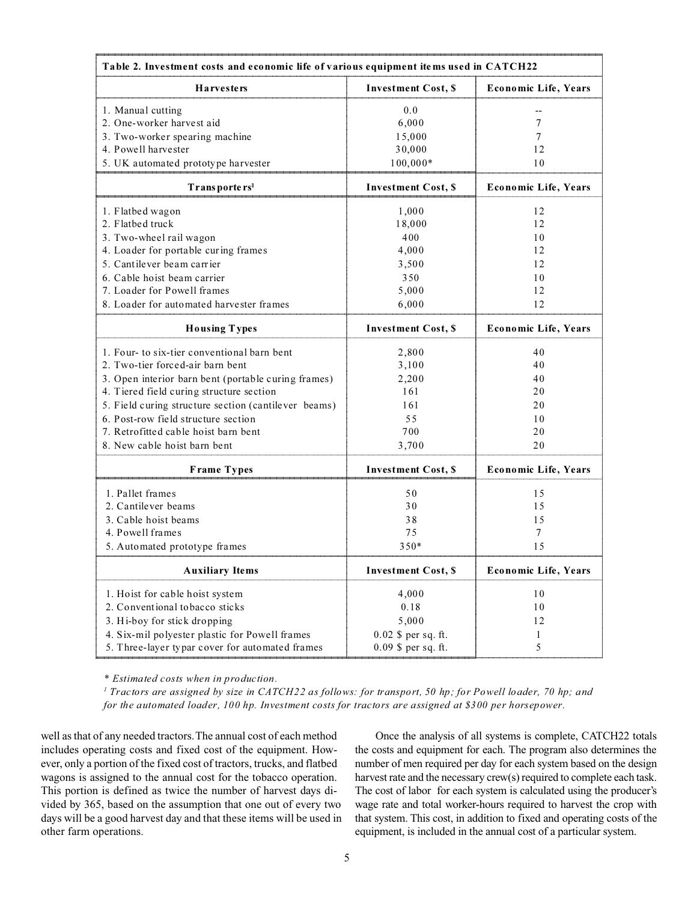| <b>Harvesters</b>                                                               | <b>Investment Cost, \$</b> | <b>Economic Life, Years</b> |  |
|---------------------------------------------------------------------------------|----------------------------|-----------------------------|--|
| 1. Manual cutting                                                               | 0.0                        | --                          |  |
| 2. One-worker harvest aid                                                       | 6,000                      | 7                           |  |
| 3. Two-worker spearing machine                                                  | 15,000                     | 7                           |  |
| 4. Powell harvester                                                             | 30,000                     | 12                          |  |
| 5. UK automated prototype harvester                                             | 100,000*                   | 10                          |  |
| Transporters <sup>1</sup>                                                       | <b>Investment Cost, \$</b> | Economic Life, Years        |  |
|                                                                                 |                            |                             |  |
| 1. Flatbed wagon                                                                | 1,000                      | 12                          |  |
| 2. Flatbed truck                                                                | 18,000                     | 12                          |  |
| 3. Two-wheel rail wagon                                                         | 400                        | 10                          |  |
| 4. Loader for portable curing frames                                            | 4,000                      | 12                          |  |
| 5. Cantilever beam carrier                                                      | 3,500                      | 12                          |  |
| 6. Cable hoist beam carrier                                                     | 350                        | 10                          |  |
| 7. Loader for Powell frames                                                     | 5,000                      | 12                          |  |
| 8. Loader for automated harvester frames                                        | 6,000                      | 12                          |  |
| <b>Housing Types</b>                                                            | <b>Investment Cost, \$</b> | <b>Economic Life, Years</b> |  |
|                                                                                 |                            |                             |  |
| 1. Four- to six-tier conventional barn bent<br>2. Two-tier forced-air barn bent | 2,800                      | 40                          |  |
|                                                                                 | 3,100                      | 40                          |  |
| 3. Open interior barn bent (portable curing frames)                             | 2,200                      | 40                          |  |
| 4. Tiered field curing structure section                                        | 161                        | 20                          |  |
| 5. Field curing structure section (cantilever beams)                            | 161                        | 20                          |  |
| 6. Post-row field structure section                                             | 55                         | 10                          |  |
| 7. Retrofitted cable hoist barn bent                                            | 700                        | 20                          |  |
| 8. New cable hoist barn bent                                                    | 3,700                      | 20                          |  |
| <b>Frame Types</b>                                                              | <b>Investment Cost, \$</b> | Economic Life, Years        |  |
| 1. Pallet frames                                                                | 50                         | 15                          |  |
| 2. Cantilever beams                                                             | 30                         | 15                          |  |
| 3. Cable hoist beams                                                            | 38                         | 15                          |  |
| 4. Powell frames                                                                | 75                         | 7                           |  |
| 5. Automated prototype frames                                                   | $350*$                     | 15                          |  |
| <b>Auxiliary Items</b>                                                          | <b>Investment Cost, \$</b> | Economic Life, Years        |  |
|                                                                                 |                            |                             |  |
| 1. Hoist for cable hoist system                                                 | 4,000                      | $1\,0$                      |  |
| 2. Conventional tobacco sticks                                                  | 0.18                       | 10                          |  |
| 3. Hi-boy for stick dropping                                                    | 5,000                      | 12                          |  |
| 4. Six-mil polyester plastic for Powell frames                                  | $0.02$ \$ per sq. ft.      | $\mathbf{1}$                |  |
| 5. Three-layer typar cover for automated frames                                 | $0.09$ \$ per sq. ft.      | 5                           |  |

\* Estimated costs when in p ro duction.

 $^1$  Tractors are assigned by size in CATCH22 as follows: for transport, 50 hp; for Powell loader, 70 hp; and for the automated loader, 100 hp. Investment costs for tractors are assigned at \$300 per horsepower.

well as that of any needed tractors. The annual cost of each method includes operating costs and fixed cost of the equipment. However, only a portion of the fixed cost of tractors, trucks, and flatbed wagons is assigned to the annual cost for the tobacco operation. This portion is defined as twice the number of harvest days divided by 365, based on the assumption that one out of every two days will be a good harvest day and that these items will be used in other farm operations.

Once the analysis of all systems is complete, CATCH22 totals the costs and equipment for each. The program also determines the number of men required per day for each system based on the design harvest rate and the necessary crew(s) required to complete each task. The cost of labor for each system is calculated using the producer's wage rate and total worker-hours required to harvest the crop with that system. This cost, in addition to fixed and operating costs of the equipment, is included in the annual cost of a particular system.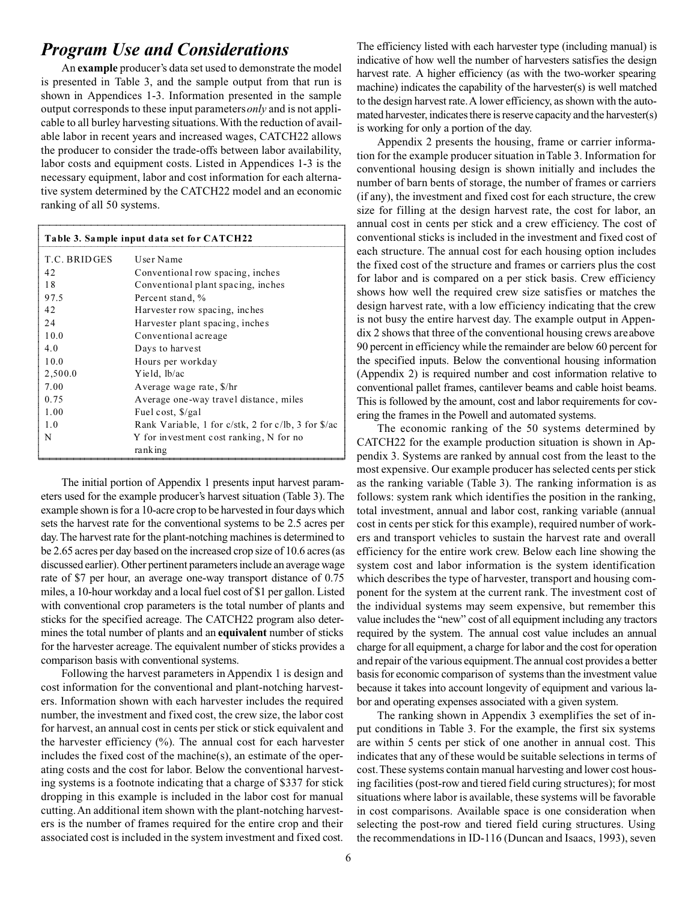#### Program Use and Considerations

An **example** producer's data set used to demonstrate the model is presented in Table 3, and the sample output from that run is shown in Appendices 1-3. Information presented in the sample output corresponds to these input parameters *only* and is not applicable to all burley harvesting situations. With the reduction of available labor in recent years and increased wages, CATCH22 allows the producer to consider the trade-offs between labor availability, labor costs and equipment costs. Listed in Appendices 1-3 is the necessary equipment, labor and cost information for each alternative system determined by the CATCH22 model and an economic ranking of all 50 systems.

| a<br>Table 3. Sample input data set for CATCH22<br>$\mathbf c$<br>e |                                                                   |  |  |  |  |  |
|---------------------------------------------------------------------|-------------------------------------------------------------------|--|--|--|--|--|
| T.C. BRIDGES                                                        | User Name                                                         |  |  |  |  |  |
| 42                                                                  | Conventional row spacing, inches                                  |  |  |  |  |  |
| 18                                                                  | Conventional plant spacing, inches                                |  |  |  |  |  |
| 97.5                                                                | Percent stand, %                                                  |  |  |  |  |  |
| 42                                                                  | Harvester row spacing, inches                                     |  |  |  |  |  |
| 24                                                                  | Harvester plant spacing, inches                                   |  |  |  |  |  |
| 10.0                                                                | Conventional acreage                                              |  |  |  |  |  |
| 4.0                                                                 | Days to harvest                                                   |  |  |  |  |  |
| 10.0                                                                | Hours per workday                                                 |  |  |  |  |  |
| 2,500.0                                                             | Yield, lb/ac                                                      |  |  |  |  |  |
| 7.00                                                                | Average wage rate, \$/hr                                          |  |  |  |  |  |
| 0.75                                                                | Average one-way travel distance, miles                            |  |  |  |  |  |
| 1.00                                                                | Fuel cost, \$/gal                                                 |  |  |  |  |  |
| 1.0                                                                 | Rank Variable, 1 for $c/stk$ , 2 for $c/b$ , 3 for $\frac{s}{ac}$ |  |  |  |  |  |
| N                                                                   | Y for investment cost ranking, N for no                           |  |  |  |  |  |
|                                                                     | ranking                                                           |  |  |  |  |  |
|                                                                     |                                                                   |  |  |  |  |  |

The initial portion of Appendix 1 presents input harvest parameters used for the example producer's harvest situation (Table 3). The example shown is for a 10-acre crop to be harvested in four days which sets the harvest rate for the conventional systems to be 2.5 acres per day. The harvest rate for the plant-notching machines is determined to be 2.65 acres per day based on the increased crop size of 10.6 acres (as discussed earlier). Other pertinent parameters include an average wage rate of \$7 per hour, an average one-way transport distance of 0.75 miles, a 10-hour workday and a local fuel cost of \$1 per gallon. Listed with conventional crop parameters is the total number of plants and sticks for the specified acreage. The CATCH22 program also determines the total number of plants and an **equivalent** number of sticks for the harvester acreage. The equivalent number of sticks provides a comparison basis with conventional systems.

Following the harvest parameters in Appendix 1 is design and cost information for the conventional and plant-notching harvesters. Information shown with each harvester includes the required number, the investment and fixed cost, the crew size, the labor cost for harvest, an annual cost in cents per stick or stick equivalent and the harvester efficiency (%). The annual cost for each harvester includes the fixed cost of the machine(s), an estimate of the operating costs and the cost for labor. Below the conventional harvesting systems is a footnote indicating that a charge of \$337 for stick dropping in this example is included in the labor cost for manual cutting. An additional item shown with the plant-notching harvesters is the number of frames required for the entire crop and their associated cost is included in the system investment and fixed cost.

The efficiency listed with each harvester type (including manual) is indicative of how well the number of harvesters satisfies the design harvest rate. A higher efficiency (as with the two-worker spearing machine) indicates the capability of the harvester(s) is well matched to the design harvest rate. A lower efficiency, as shown with the automated harvester, indicates there is reserve capacity and the harvester(s) is working for only a portion of the day.

Appendix 2 presents the housing, frame or carrier information for the example producer situation in Table 3. Information for conventional housing design is shown initially and includes the number of barn bents of storage, the number of frames or carriers (if any), the investment and fixed cost for each structure, the crew size for filling at the design harvest rate, the cost for labor, an annual cost in cents per stick and a crew efficiency. The cost of  $\sim$  conventional sticks is included in the investment and fixed cost of  $\alpha$  each structure. The annual cost for each housing option includes  $\parallel$  the fixed cost of the structure and frames or carriers plus the cost for labor and is compared on a per stick basis. Crew efficiency shows how well the required crew size satisfies or matches the  $\parallel$  design harvest rate, with a low efficiency indicating that the crew is not busy the entire harvest day. The example output in Appen- $\vert$  dix 2 shows that three of the conventional housing crews are above 90 percent in efficiency while the remainder are below 60 percent for the specified inputs. Below the conventional housing information (Appendix 2) is required number and cost information relative to conventional pallet frames, cantilever beams and cable hoist beams. This is followed by the amount, cost and labor requirements for covering the frames in the Powell and automated systems. AAAA

The economic ranking of the 50 systems determined by The economic ranking of the 50 systems determined by<br>CATCH22 for the example production situation is shown in Appendix 3. Systems are ranked by annual cost from the least to the AAAAAAAAAAAAAAAA most expensive. Our example producer has selected cents per stick as the ranking variable (Table 3). The ranking information is as follows: system rank which identifies the position in the ranking, total investment, annual and labor cost, ranking variable (annual cost in cents per stick for this example), required number of workers and transport vehicles to sustain the harvest rate and overall efficiency for the entire work crew. Below each line showing the system cost and labor information is the system identification which describes the type of harvester, transport and housing component for the system at the current rank. The investment cost of the individual systems may seem expensive, but remember this value includes the "new" cost of all equipment including any tractors required by the system. The annual cost value includes an annual charge for all equipment, a charge for labor and the cost for operation and repair of the various equipment. The annual cost provides a better basis for economic comparison of systems than the investment value because it takes into account longevity of equipment and various labor and operating expenses associated with a given system.  $\vert$ 

The ranking shown in Appendix 3 exemplifies the set of input conditions in Table 3. For the example, the first six systems are within 5 cents per stick of one another in annual cost. This indicates that any of these would be suitable selections in terms of cost. These systems contain manual harvesting and lower cost housing facilities (post-row and tiered field curing structures); for most situations where labor is available, these systems will be favorable in cost comparisons. Available space is one consideration when selecting the post-row and tiered field curing structures. Using the recommendations in ID-116 (Duncan and Isaacs, 1993), seven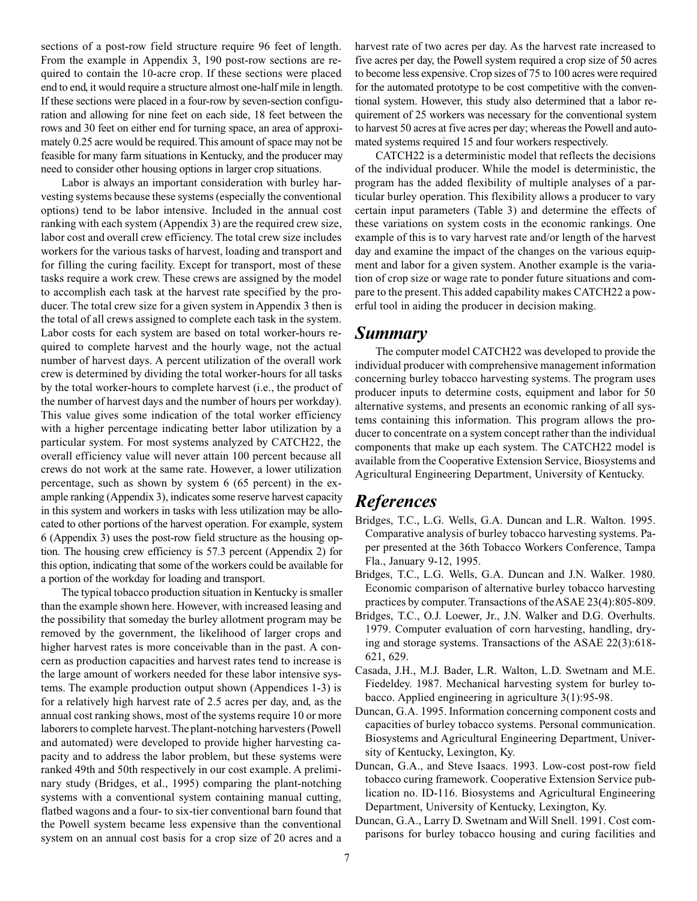sections of a post-row field structure require 96 feet of length. From the example in Appendix 3, 190 post-row sections are required to contain the 10-acre crop. If these sections were placed end to end, it would require a structure almost one-half mile in length. If these sections were placed in a four-row by seven-section configuration and allowing for nine feet on each side, 18 feet between the rows and 30 feet on either end for turning space, an area of approximately 0.25 acre would be required. This amount of space may not be feasible for many farm situations in Kentucky, and the producer may need to consider other housing options in larger crop situations.

Labor is always an important consideration with burley harvesting systems because these systems (especially the conventional options) tend to be labor intensive. Included in the annual cost ranking with each system (Appendix 3) are the required crew size, labor cost and overall crew efficiency. The total crew size includes workers for the various tasks of harvest, loading and transport and for filling the curing facility. Except for transport, most of these tasks require a work crew. These crews are assigned by the model to accomplish each task at the harvest rate specified by the producer. The total crew size for a given system in Appendix 3 then is the total of all crews assigned to complete each task in the system. Labor costs for each system are based on total worker-hours required to complete harvest and the hourly wage, not the actual number of harvest days. A percent utilization of the overall work crew is determined by dividing the total worker-hours for all tasks by the total worker-hours to complete harvest (i.e., the product of the number of harvest days and the number of hours per workday). This value gives some indication of the total worker efficiency with a higher percentage indicating better labor utilization by a particular system. For most systems analyzed by CATCH22, the overall efficiency value will never attain 100 percent because all crews do not work at the same rate. However, a lower utilization percentage, such as shown by system 6 (65 percent) in the example ranking (Appendix 3), indicates some reserve harvest capacity in this system and workers in tasks with less utilization may be allocated to other portions of the harvest operation. For example, system 6 (Appendix 3) uses the post-row field structure as the housing option. The housing crew efficiency is 57.3 percent (Appendix 2) for this option, indicating that some of the workers could be available for a portion of the workday for loading and transport.

The typical tobacco production situation in Kentucky is smaller than the example shown here. However, with increased leasing and the possibility that someday the burley allotment program may be removed by the government, the likelihood of larger crops and higher harvest rates is more conceivable than in the past. A concern as production capacities and harvest rates tend to increase is the large amount of workers needed for these labor intensive systems. The example production output shown (Appendices 1-3) is for a relatively high harvest rate of 2.5 acres per day, and, as the annual cost ranking shows, most of the systems require 10 or more laborers to complete harvest. The plant-notching harvesters (Powell and automated) were developed to provide higher harvesting capacity and to address the labor problem, but these systems were ranked 49th and 50th respectively in our cost example. A preliminary study (Bridges, et al., 1995) comparing the plant-notching systems with a conventional system containing manual cutting, flatbed wagons and a four- to six-tier conventional barn found that the Powell system became less expensive than the conventional system on an annual cost basis for a crop size of 20 acres and a

harvest rate of two acres per day. As the harvest rate increased to five acres per day, the Powell system required a crop size of 50 acres to become less expensive. Crop sizes of 75 to 100 acres were required for the automated prototype to be cost competitive with the conventional system. However, this study also determined that a labor requirement of 25 workers was necessary for the conventional system to harvest 50 acres at five acres per day; whereas the Powell and automated systems required 15 and four workers respectively.

CATCH22 is a deterministic model that reflects the decisions of the individual producer. While the model is deterministic, the program has the added flexibility of multiple analyses of a particular burley operation. This flexibility allows a producer to vary certain input parameters (Table 3) and determine the effects of these variations on system costs in the economic rankings. One example of this is to vary harvest rate and/or length of the harvest day and examine the impact of the changes on the various equipment and labor for a given system. Another example is the variation of crop size or wage rate to ponder future situations and compare to the present. This added capability makes CATCH22 a powerful tool in aiding the producer in decision making.

#### Summary

The computer model CATCH22 was developed to provide the individual producer with comprehensive management information concerning burley tobacco harvesting systems. The program uses producer inputs to determine costs, equipment and labor for 50 alternative systems, and presents an economic ranking of all systems containing this information. This program allows the producer to concentrate on a system concept rather than the individual components that make up each system. The CATCH22 model is available from the Cooperative Extension Service, Biosystems and Agricultural Engineering Department, University of Kentucky.

## **References**

- Bridges, T.C., L.G. Wells, G.A. Duncan and L.R. Walton. 1995. Comparative analysis of burley tobacco harvesting systems. Paper presented at the 36th Tobacco Workers Conference, Tampa Fla., January 9-12, 1995.
- Bridges, T.C., L.G. Wells, G.A. Duncan and J.N. Walker. 1980. Economic comparison of alternative burley tobacco harvesting practices by computer. Transactions of the ASAE 23(4):805-809.
- Bridges, T.C., O.J. Loewer, Jr., J.N. Walker and D.G. Overhults. 1979. Computer evaluation of corn harvesting, handling, drying and storage systems. Transactions of the ASAE 22(3):618- 621, 629.
- Casada, J.H., M.J. Bader, L.R. Walton, L.D. Swetnam and M.E. Fiedeldey. 1987. Mechanical harvesting system for burley tobacco. Applied engineering in agriculture 3(1):95-98.
- Duncan, G.A. 1995. Information concerning component costs and capacities of burley tobacco systems. Personal communication. Biosystems and Agricultural Engineering Department, University of Kentucky, Lexington, Ky.
- Duncan, G.A., and Steve Isaacs. 1993. Low-cost post-row field tobacco curing framework. Cooperative Extension Service publication no. ID-116. Biosystems and Agricultural Engineering Department, University of Kentucky, Lexington, Ky.
- Duncan, G.A., Larry D. Swetnam and Will Snell. 1991. Cost comparisons for burley tobacco housing and curing facilities and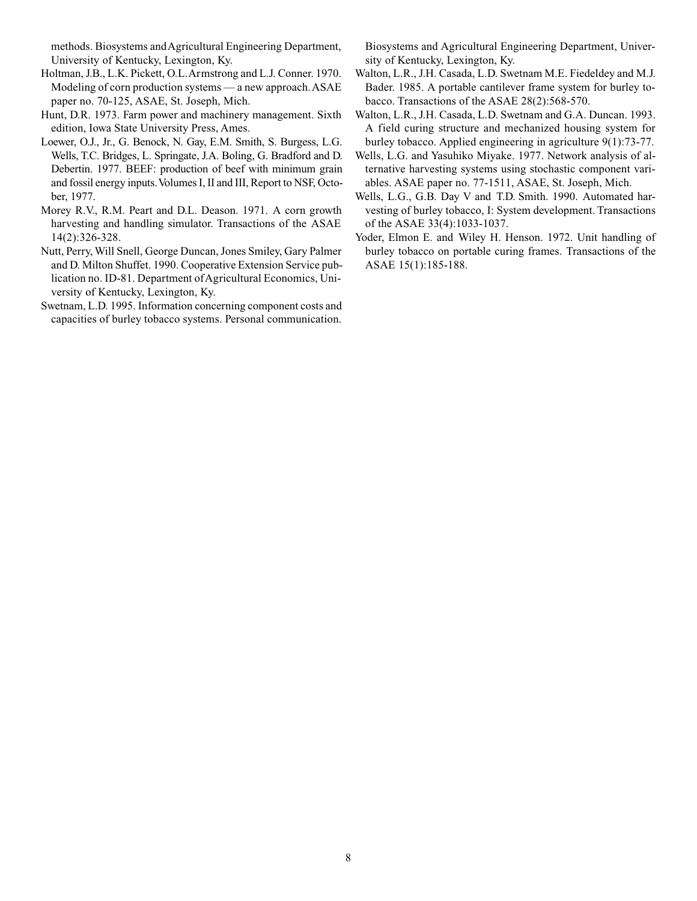methods. Biosystems and Agricultural Engineering Department, University of Kentucky, Lexington, Ky.

- Holtman, J.B., L.K. Pickett, O.L. Armstrong and L.J. Conner. 1970. Modeling of corn production systems — a new approach. ASAE paper no. 70-125, ASAE, St. Joseph, Mich.
- Hunt, D.R. 1973. Farm power and machinery management. Sixth edition, Iowa State University Press, Ames.
- Loewer, O.J., Jr., G. Benock, N. Gay, E.M. Smith, S. Burgess, L.G. Wells, T.C. Bridges, L. Springate, J.A. Boling, G. Bradford and D. Debertin. 1977. BEEF: production of beef with minimum grain and fossil energy inputs. Volumes I, II and III, Report to NSF, October, 1977.
- Morey R.V., R.M. Peart and D.L. Deason. 1971. A corn growth harvesting and handling simulator. Transactions of the ASAE 14(2):326-328.
- Nutt, Perry, Will Snell, George Duncan, Jones Smiley, Gary Palmer and D. Milton Shuffet. 1990. Cooperative Extension Service publication no. ID-81. Department of Agricultural Economics, University of Kentucky, Lexington, Ky.
- Swetnam, L.D. 1995. Information concerning component costs and capacities of burley tobacco systems. Personal communication.

Biosystems and Agricultural Engineering Department, University of Kentucky, Lexington, Ky.

- Walton, L.R., J.H. Casada, L.D. Swetnam M.E. Fiedeldey and M.J. Bader. 1985. A portable cantilever frame system for burley tobacco. Transactions of the ASAE 28(2):568-570.
- Walton, L.R., J.H. Casada, L.D. Swetnam and G.A. Duncan. 1993. A field curing structure and mechanized housing system for burley tobacco. Applied engineering in agriculture 9(1):73-77.
- Wells, L.G. and Yasuhiko Miyake. 1977. Network analysis of alternative harvesting systems using stochastic component variables. ASAE paper no. 77-1511, ASAE, St. Joseph, Mich.
- Wells, L.G., G.B. Day V and T.D. Smith. 1990. Automated harvesting of burley tobacco, I: System development. Transactions of the ASAE 33(4):1033-1037.
- Yoder, Elmon E. and Wiley H. Henson. 1972. Unit handling of burley tobacco on portable curing frames. Transactions of the ASAE 15(1):185-188.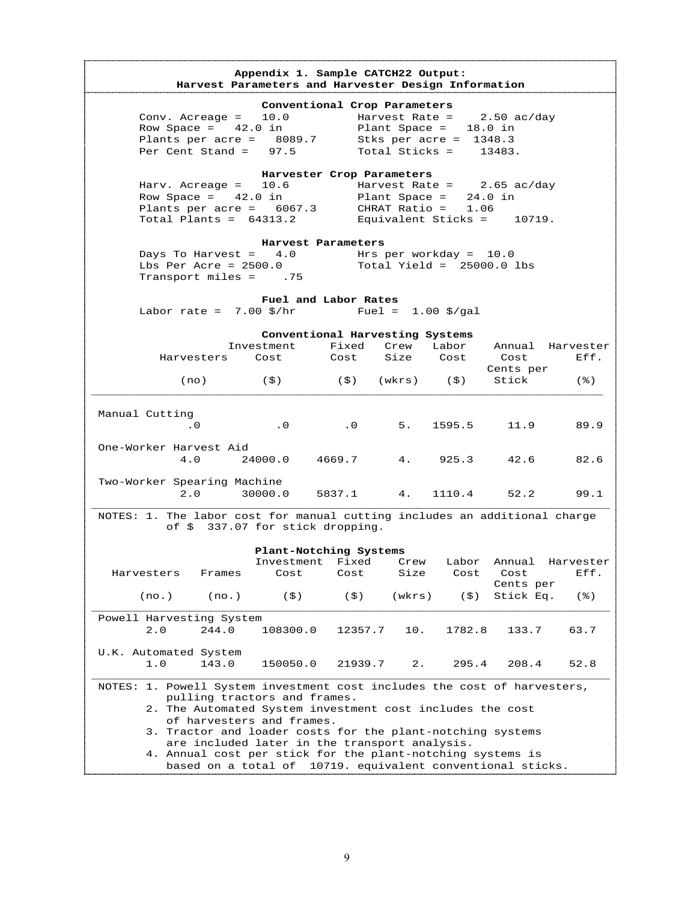|            |                             |                                                            | Conventional Crop Parameters                                                                                  |                |                              |                              |                  |
|------------|-----------------------------|------------------------------------------------------------|---------------------------------------------------------------------------------------------------------------|----------------|------------------------------|------------------------------|------------------|
|            | Conv. Acreage = $10.0$      |                                                            |                                                                                                               | Harvest Rate = |                              | $2.50$ ac/day                |                  |
|            | Row Space = $42.0$ in       |                                                            |                                                                                                               |                | Plant Space = 18.0 in        |                              |                  |
|            |                             | Plants per acre = 8089.7                                   |                                                                                                               |                | Stks per acre = $1348.3$     |                              |                  |
|            | Per Cent Stand = $97.5$     |                                                            |                                                                                                               |                | Total Sticks = $13483$ .     |                              |                  |
|            |                             |                                                            | Harvester Crop Parameters                                                                                     |                |                              |                              |                  |
|            | Harv. Acreage $=$ 10.6      |                                                            |                                                                                                               |                |                              | Harvest Rate = $2.65$ ac/day |                  |
|            |                             | Row Space = $42.0$ in                                      |                                                                                                               |                | Plant Space = $24.0$ in      |                              |                  |
|            |                             | Plants per acre = $6067.3$                                 |                                                                                                               |                | CHRAT Ratio = $1.06$         |                              |                  |
|            |                             | Total Plants = $64313.2$                                   |                                                                                                               |                |                              | Equivalent Sticks = 10719.   |                  |
|            |                             |                                                            | Harvest Parameters                                                                                            |                |                              |                              |                  |
|            |                             | Days To Harvest = $4.0$                                    |                                                                                                               |                | Hrs per workday = 10.0       |                              |                  |
|            |                             |                                                            | Lbs Per Acre = $2500.0$ Total Yield = $25000.0$ lbs                                                           |                |                              |                              |                  |
|            |                             | Transport miles = .75                                      |                                                                                                               |                |                              |                              |                  |
|            |                             |                                                            | Fuel and Labor Rates                                                                                          |                |                              |                              |                  |
|            |                             | Labor rate = $7.00 \text{ } \frac{\text{m}}{\text{s}}$ /hr |                                                                                                               |                | Fuel = $1.00 \frac{\xi}{qq}$ |                              |                  |
|            |                             |                                                            | Conventional Harvesting Systems                                                                               |                |                              |                              |                  |
|            |                             | Investment                                                 | Fixed Crew                                                                                                    |                | Labor                        |                              | Annual Harvester |
|            | Harvesters                  | Cost                                                       | Cost Size                                                                                                     |                | Cost                         | Cost                         | Eff.             |
|            |                             |                                                            |                                                                                                               |                |                              | Cents per                    |                  |
|            | (no)                        |                                                            | (\$)      (\$)   (wkrs)   (\$)                                                                                |                |                              | Stick                        | (응)              |
|            | One-Worker Harvest Aid      |                                                            | $4.0$ $24000.0$ $4669.7$ $4.$ $925.3$                                                                         |                |                              | 42.6                         | 82.6             |
|            | Two-Worker Spearing Machine |                                                            |                                                                                                               |                |                              |                              |                  |
|            | 2.0                         | 30000.0                                                    | 5837.1 4.                                                                                                     |                | 1110.4                       | 52.2                         | 99.1             |
|            |                             |                                                            | NOTES: 1. The labor cost for manual cutting includes an additional charge<br>of \$ 337.07 for stick dropping. |                |                              |                              |                  |
|            |                             |                                                            | Plant-Notching Systems<br>Investment Fixed                                                                    | Crew           |                              | Labor Annual Harvester       |                  |
| Harvesters | Frames                      | Cost                                                       | Cost                                                                                                          | Size           | Cost                         | Cost                         | Eff.             |
|            |                             |                                                            |                                                                                                               |                |                              | Cents per                    |                  |
| (no.)      | (no.)                       | $($ \$)                                                    | $($ \$)                                                                                                       | (wkrs)         | (5)                          | Stick Eq.                    | (응)              |
|            | Powell Harvesting System    |                                                            |                                                                                                               |                |                              |                              |                  |
| 2.0        | 244.0                       | 108300.0                                                   | 12357.7                                                                                                       | 10.            | 1782.8                       | 133.7                        | 63.7             |
|            |                             |                                                            |                                                                                                               |                |                              |                              |                  |
|            | U.K. Automated System       |                                                            |                                                                                                               |                |                              |                              |                  |
| 1.0        | 143.0                       | 150050.0                                                   | 21939.7                                                                                                       | $2$ .          | 295.4                        | 208.4                        | 52.8             |
|            |                             |                                                            | NOTES: 1. Powell System investment cost includes the cost of harvesters,                                      |                |                              |                              |                  |
|            |                             | pulling tractors and frames.                               |                                                                                                               |                |                              |                              |                  |
|            |                             |                                                            | 2. The Automated System investment cost includes the cost                                                     |                |                              |                              |                  |
|            |                             | of harvesters and frames.                                  |                                                                                                               |                |                              |                              |                  |
|            |                             |                                                            |                                                                                                               |                |                              |                              |                  |
|            |                             | 3. Tractor and loader costs for the plant-notching systems |                                                                                                               |                |                              |                              |                  |
|            |                             |                                                            | are included later in the transport analysis.                                                                 |                |                              |                              |                  |
|            |                             |                                                            | 4. Annual cost per stick for the plant-notching systems is                                                    |                |                              |                              |                  |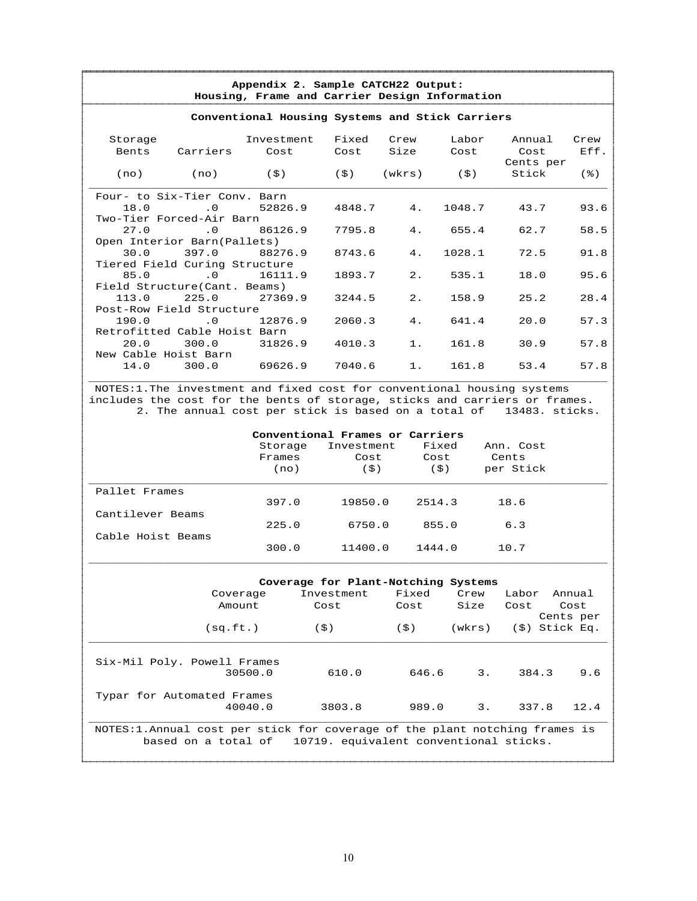|                                                                                                                                                       |                    |                           | Conventional Housing Systems and Stick Carriers                                        |               |               |                             |                              |
|-------------------------------------------------------------------------------------------------------------------------------------------------------|--------------------|---------------------------|----------------------------------------------------------------------------------------|---------------|---------------|-----------------------------|------------------------------|
| Storage<br>Bents                                                                                                                                      | Carriers           | Investment<br>Cost        | Fixed<br>Cost                                                                          | Crew<br>Size  | Labor<br>Cost | Annual<br>Cost<br>Cents per | Crew<br>Eff.                 |
| (no)                                                                                                                                                  | (no)               | (\$)                      | (\$)                                                                                   | (wkrs)        | (\$)          | Stick                       | (응)                          |
| Four- to Six-Tier Conv. Barn<br>18.0                                                                                                                  | $\cdot$ 0          | 52826.9                   | 4848.7                                                                                 | 4.            | 1048.7        | 43.7                        | 93.6                         |
| Two-Tier Forced-Air Barn                                                                                                                              |                    |                           |                                                                                        |               |               |                             |                              |
| 27.0<br>Open Interior Barn(Pallets)                                                                                                                   | $\cdot$ 0          | 86126.9                   | 7795.8                                                                                 | 4.            | 655.4         | 62.7                        | 58.5                         |
| 30.0<br>Tiered Field Curing Structure                                                                                                                 | 397.0              | 88276.9                   | 8743.6                                                                                 | 4.            | 1028.1        | 72.5                        | 91.8                         |
| 85.0<br>Field Structure(Cant. Beams)                                                                                                                  | $\Omega$           | 16111.9                   | 1893.7                                                                                 | $2$ .         | 535.1         | 18.0                        | 95.6                         |
| 113.0                                                                                                                                                 | 225.0              | 27369.9                   | 3244.5                                                                                 | 2.            | 158.9         | 25.2                        | 28.4                         |
| Post-Row Field Structure<br>190.0                                                                                                                     | $\cdot$ 0          | 12876.9                   | 2060.3                                                                                 | 4.            | 641.4         | 20.0                        | 57.3                         |
| Retrofitted Cable Hoist Barn<br>20.0<br>New Cable Hoist Barn                                                                                          | 300.0              | 31826.9                   | 4010.3                                                                                 | $1$ .         | 161.8         | 30.9                        | 57.8                         |
| 14.0                                                                                                                                                  | 300.0              | 69626.9                   | 7040.6                                                                                 | 1.            | 161.8         | 53.4                        | 57.8                         |
|                                                                                                                                                       |                    |                           | 2. The annual cost per stick is based on a total of<br>Conventional Frames or Carriers |               | Fixed         | 13483. sticks.<br>Ann. Cost |                              |
| NOTES:1. The investment and fixed cost for conventional housing systems<br>includes the cost for the bents of storage, sticks and carriers or frames. |                    | Storage<br>Frames<br>(no) | Investment<br>Cost<br>(5)                                                              |               | Cost<br>(\$)  | Cents<br>per Stick          |                              |
|                                                                                                                                                       |                    |                           |                                                                                        |               |               |                             |                              |
|                                                                                                                                                       |                    | 397.0                     | 19850.0                                                                                |               | 2514.3        | 18.6                        |                              |
| Pallet Frames<br>Cantilever Beams                                                                                                                     |                    | 225.0                     | 6750.0                                                                                 |               | 855.0         | 6.3                         |                              |
|                                                                                                                                                       |                    | 300.0                     | 11400.0                                                                                |               | 1444.0        | 10.7                        |                              |
|                                                                                                                                                       |                    |                           |                                                                                        |               |               |                             |                              |
|                                                                                                                                                       | Coverage<br>Amount |                           | Coverage for Plant-Notching Systems<br>Investment<br>Cost                              | Fixed<br>Cost | Crew<br>Size  | Labor Annual<br>Cost        | Cost                         |
| Cable Hoist Beams                                                                                                                                     | (sq.fit.)          |                           | $($ \$)                                                                                | (\$)          | (wkrs)        |                             | Cents per<br>$(5)$ Stick Eq. |
| Six-Mil Poly. Powell Frames                                                                                                                           |                    | 30500.0                   | 610.0                                                                                  | 646.6         | 3.            | 384.3                       | 9.6                          |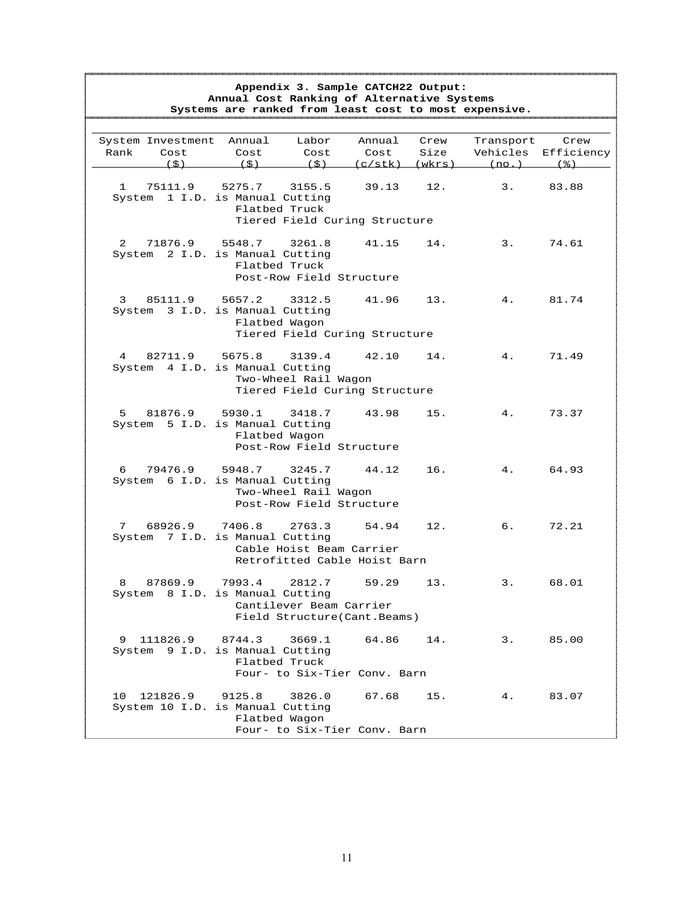|                                                 | Annual Cost Ranking of Alternative Systems                                     | Appendix 3. Sample CATCH22 Output:                                        |              |           |                                        |
|-------------------------------------------------|--------------------------------------------------------------------------------|---------------------------------------------------------------------------|--------------|-----------|----------------------------------------|
|                                                 | Systems are ranked from least cost to most expensive.                          |                                                                           |              |           |                                        |
| System Investment Annual<br>Rank<br>Cost<br>(S) | Cost<br>(S)                                                                    | Labor<br>Annual<br>Cost<br>Cost<br>$(5)$ $(c/stk)$ $(wkrs)$ $(no.)$       | Crew<br>Size | Transport | Crew<br>Vehicles Efficiency<br>$($ $)$ |
| 1<br>75111.9                                    | 5275.7<br>3155.5<br>System 1 I.D. is Manual Cutting<br>Flatbed Truck           | Tiered Field Curing Structure                                             | 39.13 12.    | 3.        | 83.88                                  |
| $\overline{2}$                                  | 71876.9 5548.7<br>3261.8<br>System 2 I.D. is Manual Cutting<br>Flatbed Truck   | 41.15<br>Post-Row Field Structure                                         | 14.          | 3. 74.61  |                                        |
| $3^{\circ}$                                     | 85111.9 5657.2 3312.5<br>System 3 I.D. is Manual Cutting<br>Flatbed Wagon      | Tiered Field Curing Structure                                             | 41.96 13.    | 4. 81.74  |                                        |
| $4\degree$                                      | 82711.9 5675.8<br>System 4 I.D. is Manual Cutting<br>Two-Wheel Rail Wagon      | 3139.4 42.10<br>Tiered Field Curing Structure                             | 14.          | 4. 71.49  |                                        |
| 5 -                                             | 81876.9 5930.1<br>System 5 I.D. is Manual Cutting<br>Flatbed Wagon             | 3418.7<br>43.98<br>Post-Row Field Structure                               | 15.          |           | 4. 73.37                               |
| 6                                               | 79476.9 5948.7<br>System 6 I.D. is Manual Cutting<br>Two-Wheel Rail Wagon      | 3245.7<br>44.12<br>Post-Row Field Structure                               | 16.          |           | 4. 64.93                               |
| 7                                               | 68926.9 7406.8<br>2763.3<br>System 7 I.D. is Manual Cutting                    | 54.94<br>Cable Hoist Beam Carrier<br>Retrofitted Cable Hoist Barn         | 12.          | 6.        | 72.21                                  |
| 87869.9<br>8                                    | 7993.4<br>System 8 I.D. is Manual Cutting                                      | 2812.7<br>59.29<br>Cantilever Beam Carrier<br>Field Structure(Cant.Beams) | 13.          | 3.        | 68.01                                  |
| 9 111826.9 8744.3                               | System 9 I.D. is Manual Cutting<br>Flatbed Truck                               | 3669.1<br>64.86 14.<br>Four- to Six-Tier Conv. Barn                       |              | 3.85.00   |                                        |
|                                                 | 10 121826.9 9125.8 3826.0<br>System 10 I.D. is Manual Cutting<br>Flatbed Wagon | 67.68<br>Four- to Six-Tier Conv. Barn                                     | 15.          | 4. 83.07  |                                        |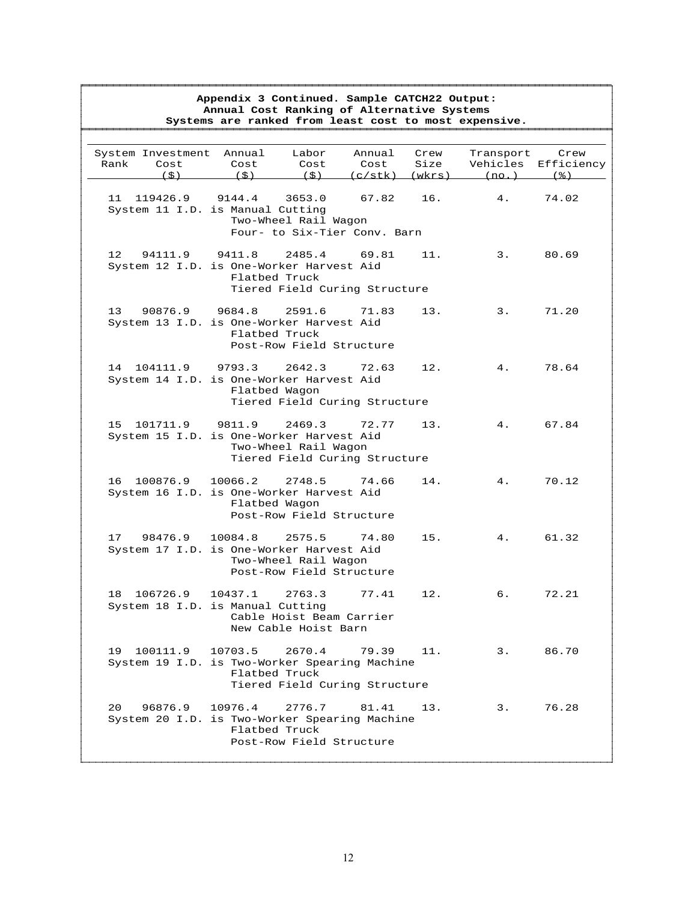|                                                                | Appendix 3 Continued. Sample CATCH22 Output:<br>Annual Cost Ranking of Alternative Systems<br>Systems are ranked from least cost to most expensive. |                                                            |                                        |      |           |                                            |
|----------------------------------------------------------------|-----------------------------------------------------------------------------------------------------------------------------------------------------|------------------------------------------------------------|----------------------------------------|------|-----------|--------------------------------------------|
| System Investment Annual                                       |                                                                                                                                                     | Labor                                                      | Annual                                 | Crew | Transport | Crew                                       |
| Rank<br>Cost<br>(S)                                            | Cost<br>(S)                                                                                                                                         | Cost<br>(S)                                                | Cost<br>$(c/stk)$ (wkrs)               | Size | $(n_0, )$ | Vehicles Efficiency<br>$($ $\frac{6}{6}$ ) |
| 11 119426.9<br>System 11 I.D. is Manual Cutting                | 9144.4                                                                                                                                              | 3653.0<br>Two-Wheel Rail Wagon                             | 67.82<br>Four- to Six-Tier Conv. Barn  | 16.  | 4.        | 74.02                                      |
| 12<br>System 12 I.D. is One-Worker Harvest Aid                 | 94111.9 9411.8<br>Flatbed Truck                                                                                                                     | 2485.4                                                     | 69.81<br>Tiered Field Curing Structure | 11.  | 3. 80.69  |                                            |
| 13<br>System 13 I.D. is One-Worker Harvest Aid                 | 90876.9 9684.8<br>Flatbed Truck                                                                                                                     | 2591.6<br>Post-Row Field Structure                         | 71.83                                  | 13.  | 3.        | 71.20                                      |
| 14 104111.9 9793.3<br>System 14 I.D. is One-Worker Harvest Aid | Flatbed Wagon                                                                                                                                       | 2642.3                                                     | 72.63<br>Tiered Field Curing Structure | 12.  | 4.        | 78.64                                      |
| 15 101711.9 9811.9<br>System 15 I.D. is One-Worker Harvest Aid |                                                                                                                                                     | 2469.3<br>Two-Wheel Rail Wagon                             | 72.77<br>Tiered Field Curing Structure | 13.  | 4.        | 67.84                                      |
| 16 100876.9<br>System 16 I.D. is One-Worker Harvest Aid        | 10066.2<br>Flatbed Wagon                                                                                                                            | 2748.5<br>Post-Row Field Structure                         | 74.66                                  | 14.  | 4.        | 70.12                                      |
| 98476.9<br>17<br>System 17 I.D. is One-Worker Harvest Aid      | 10084.8                                                                                                                                             | 2575.5<br>Two-Wheel Rail Wagon<br>Post-Row Field Structure | 74.80                                  | 15.  | 4.        | 61.32                                      |
| 18 106726.9<br>System 18 I.D. is Manual Cutting                | 10437.1                                                                                                                                             | 2763.3<br>Cable Hoist Beam Carrier<br>New Cable Hoist Barn | 77.41                                  | 12.  | 6.        | 72.21                                      |
| 19 100111.9<br>System 19 I.D. is Two-Worker Spearing Machine   | 10703.5<br>Flatbed Truck                                                                                                                            | 2670.4                                                     | 79.39<br>Tiered Field Curing Structure | 11.  | 3.        | 86.70                                      |
| 96876.9<br>20<br>System 20 I.D. is Two-Worker Spearing Machine | 10976.4<br>Flatbed Truck                                                                                                                            | 2776.7<br>Post-Row Field Structure                         | 81.41                                  | 13.  | 3.        | 76.28                                      |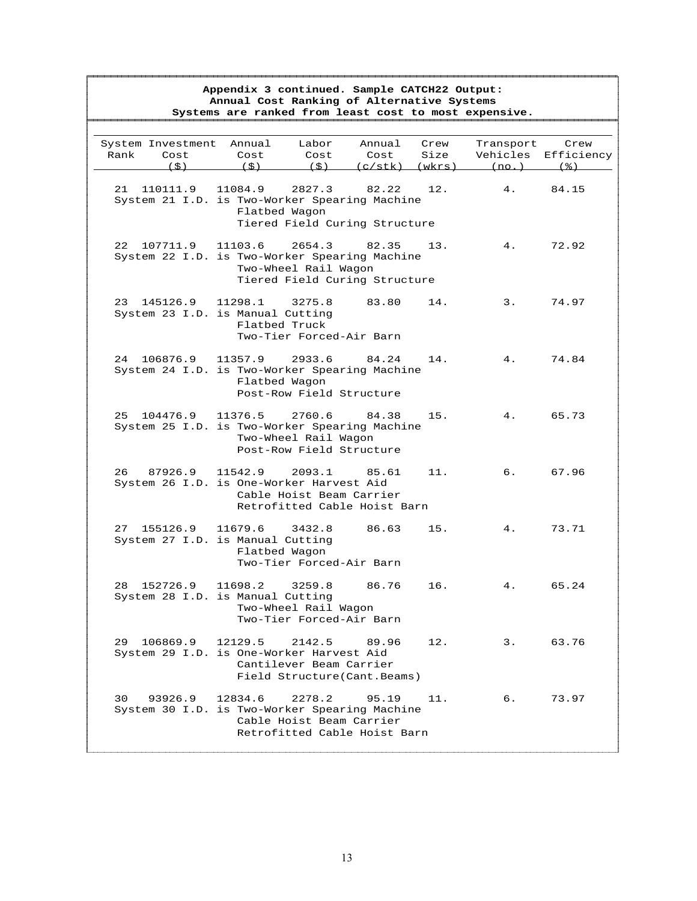| Appendix 3 continued. Sample CATCH22 Output:<br>Annual Cost Ranking of Alternative Systems<br>Systems are ranked from least cost to most expensive. |                          |                                                            |                                        |              |                            |                             |  |
|-----------------------------------------------------------------------------------------------------------------------------------------------------|--------------------------|------------------------------------------------------------|----------------------------------------|--------------|----------------------------|-----------------------------|--|
| System Investment Annual<br>Rank<br>Cost<br>(5)                                                                                                     | Cost<br>(5)              | Labor<br>Cost<br>(S)                                       | Annual<br>Cost<br>$(c/stk)$ $(wkrs)$   | Crew<br>Size | Transport<br>$(no.)$ $(3)$ | Crew<br>Vehicles Efficiency |  |
| 110111.9<br>21<br>System 21 I.D. is Two-Worker Spearing Machine                                                                                     | 11084.9<br>Flatbed Wagon | 2827.3                                                     | 82.22<br>Tiered Field Curing Structure | 12.          |                            | 4. 84.15                    |  |
| 22<br>107711.9<br>System 22 I.D. is Two-Worker Spearing Machine                                                                                     | 11103.6                  | 2654.3<br>Two-Wheel Rail Wagon                             | 82.35<br>Tiered Field Curing Structure | 13.          | 4.                         | 72.92                       |  |
| 23 145126.9<br>System 23 I.D. is Manual Cutting                                                                                                     | 11298.1<br>Flatbed Truck | 3275.8<br>Two-Tier Forced-Air Barn                         | 83.80                                  | 14.          | 3.                         | 74.97                       |  |
| 24 106876.9<br>System 24 I.D. is Two-Worker Spearing Machine                                                                                        | 11357.9<br>Flatbed Wagon | 2933.6<br>Post-Row Field Structure                         | 84.24                                  | 14.          | 4.                         | 74.84                       |  |
| 25<br>104476.9<br>System 25 I.D. is Two-Worker Spearing Machine                                                                                     | 11376.5                  | 2760.6<br>Two-Wheel Rail Wagon<br>Post-Row Field Structure | 84.38                                  | 15.          | 4.                         | 65.73                       |  |
| 26<br>87926.9<br>System 26 I.D. is One-Worker Harvest Aid                                                                                           | 11542.9                  | 2093.1<br>Cable Hoist Beam Carrier                         | 85.61<br>Retrofitted Cable Hoist Barn  | 11.          | 6.                         | 67.96                       |  |
| 155126.9<br>27<br>System 27 I.D. is Manual Cutting                                                                                                  | 11679.6<br>Flatbed Wagon | 3432.8<br>Two-Tier Forced-Air Barn                         | 86.63                                  | 15.          | 4.                         | 73.71                       |  |
| 28 152726.9 11698.2 3259.8<br>System 28 I.D. is Manual Cutting                                                                                      |                          | Two-Wheel Rail Wagon<br>Two-Tier Forced-Air Barn           | 86.76                                  | 16.          | 4.                         | 65.24                       |  |
| 106869.9<br>29<br>System 29 I.D. is One-Worker Harvest Aid                                                                                          | 12129.5                  | 2142.5<br>Cantilever Beam Carrier                          | 89.96<br>Field Structure(Cant.Beams)   | 12.          | 3.                         | 63.76                       |  |
| 30<br>93926.9<br>System 30 I.D. is Two-Worker Spearing Machine                                                                                      | 12834.6                  | 2278.2<br>Cable Hoist Beam Carrier                         | 95.19<br>Retrofitted Cable Hoist Barn  | 11.          | б.                         | 73.97                       |  |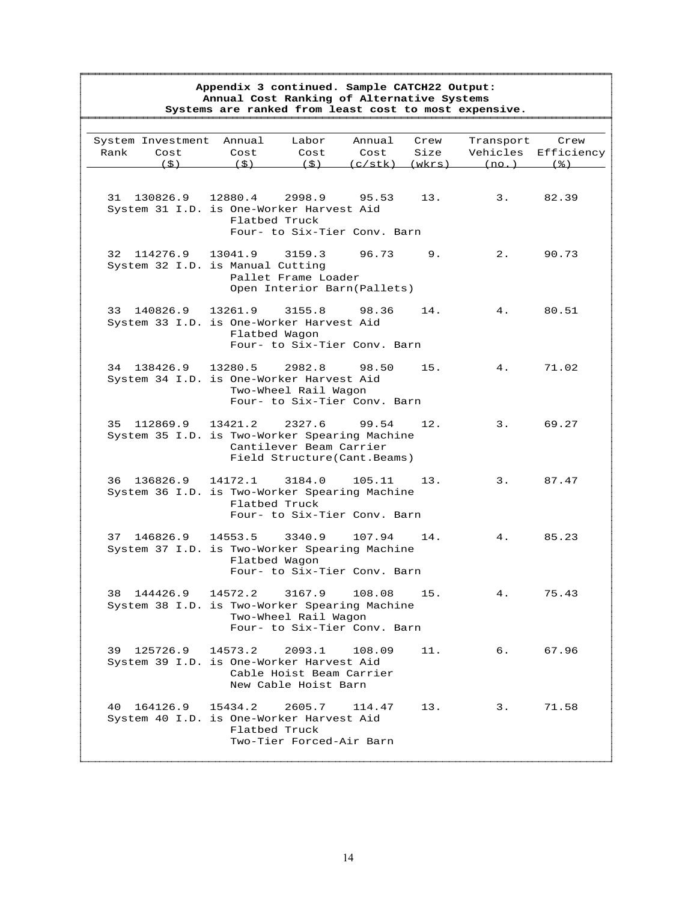|      |                                         | Appendix 3 continued. Sample CATCH22 Output:<br>Annual Cost Ranking of Alternative Systems<br>Systems are ranked from least cost to most expensive. |                                                            |                                                    |              |                    |                                        |
|------|-----------------------------------------|-----------------------------------------------------------------------------------------------------------------------------------------------------|------------------------------------------------------------|----------------------------------------------------|--------------|--------------------|----------------------------------------|
| Rank | System Investment Annual<br>Cost<br>(S) | Cost<br>(5)                                                                                                                                         | Labor<br>Cost                                              | Annual<br>Cost<br>$(5)$ $(c/stk)$ $(wkrs)$         | Crew<br>Size | Transport<br>(no.) | Crew<br>Vehicles Efficiency<br>$($ $)$ |
|      |                                         | 31 130826.9 12880.4<br>System 31 I.D. is One-Worker Harvest Aid<br>Flatbed Truck                                                                    | 2998.9                                                     | 95.53<br>Four- to Six-Tier Conv. Barn              | 13.          | 3. 82.39           |                                        |
|      | 32 114276.9                             | 13041.9<br>System 32 I.D. is Manual Cutting                                                                                                         | Pallet Frame Loader                                        | $3159.3$ $96.73$ 9.<br>Open Interior Barn(Pallets) |              | 2. 90.73           |                                        |
|      | 33 140826.9                             | 13261.9<br>System 33 I.D. is One-Worker Harvest Aid<br>Flatbed Wagon                                                                                | 3155.8                                                     | 98.36<br>Four- to Six-Tier Conv. Barn              | 14.          |                    | 4. 80.51                               |
|      | 34 138426.9                             | 13280.5<br>System 34 I.D. is One-Worker Harvest Aid                                                                                                 | 2982.8<br>Two-Wheel Rail Wagon                             | 98.50<br>Four- to Six-Tier Conv. Barn              | 15.          | 4. 71.02           |                                        |
| 35   | 112869.9                                | 13421.2<br>System 35 I.D. is Two-Worker Spearing Machine                                                                                            | 2327.6<br>Cantilever Beam Carrier                          | 99.54<br>Field Structure (Cant. Beams)             | 12.          | 3. 69.27           |                                        |
|      | 36 136826.9                             | 14172.1<br>System 36 I.D. is Two-Worker Spearing Machine<br>Flatbed Truck                                                                           | 3184.0                                                     | 105.11<br>Four- to Six-Tier Conv. Barn             | 13.          | 3. 87.47           |                                        |
|      |                                         | 37 146826.9 14553.5<br>System 37 I.D. is Two-Worker Spearing Machine<br>Flatbed Wagon                                                               | 3340.9                                                     | $107.94$ 14.<br>Four- to Six-Tier Conv. Barn       |              | 4. 85.23           |                                        |
|      | 38 144426.9                             | 14572.2<br>System 38 I.D. is Two-Worker Spearing Machine                                                                                            | 3167.9<br>Two-Wheel Rail Wagon                             | 108.08<br>Four- to Six-Tier Conv. Barn             | 15.          | 4.                 | 75.43                                  |
|      | 39 125726.9                             | 14573.2<br>System 39 I.D. is One-Worker Harvest Aid                                                                                                 | 2093.1<br>Cable Hoist Beam Carrier<br>New Cable Hoist Barn | 108.09                                             | 11.          | 6. 67.96           |                                        |
|      | 40 164126.9                             | 15434.2<br>System 40 I.D. is One-Worker Harvest Aid<br>Flatbed Truck                                                                                | 2605.7<br>Two-Tier Forced-Air Barn                         | 114.47                                             | 13.          | 3.                 | 71.58                                  |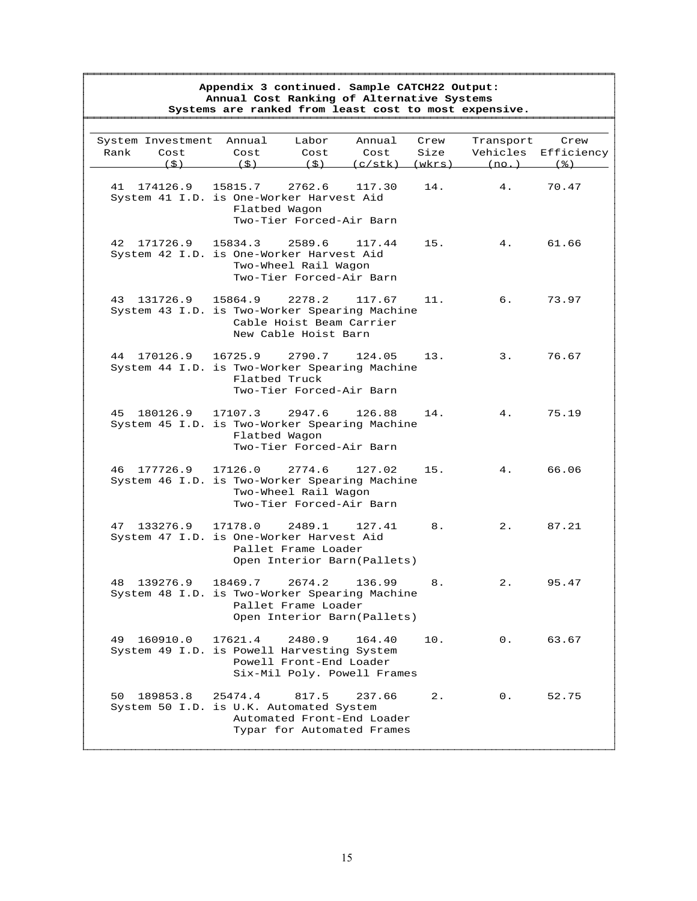| Appendix 3 continued. Sample CATCH22 Output:<br>Annual Cost Ranking of Alternative Systems<br>Systems are ranked from least cost to most expensive. |                          |                                                            |                                                                    |              |                                |                               |  |
|-----------------------------------------------------------------------------------------------------------------------------------------------------|--------------------------|------------------------------------------------------------|--------------------------------------------------------------------|--------------|--------------------------------|-------------------------------|--|
| System Investment Annual<br>Rank<br>Cost<br>(S)                                                                                                     | Cost<br>(S)              | Labor<br>Cost<br>(S)                                       | Annual<br>Cost<br>$(c/stk)$ (wkrs)                                 | Crew<br>Size | Transport<br>Vehicles<br>(no.) | Crew<br>Efficiency<br>$($ $)$ |  |
| 41<br>174126.9<br>System 41 I.D. is One-Worker Harvest Aid                                                                                          | 15815.7<br>Flatbed Wagon | 2762.6<br>Two-Tier Forced-Air Barn                         | 117.30                                                             | 14.          | 4.                             | 70.47                         |  |
| 42 171726.9<br>System 42 I.D. is One-Worker Harvest Aid                                                                                             | 15834.3                  | 2589.6<br>Two-Wheel Rail Wagon<br>Two-Tier Forced-Air Barn | 117.44                                                             | 15.          | 4.                             | 61.66                         |  |
| 43 131726.9<br>System 43 I.D. is Two-Worker Spearing Machine                                                                                        | 15864.9                  | 2278.2<br>Cable Hoist Beam Carrier<br>New Cable Hoist Barn | 117.67                                                             | 11.          | 6. 73.97                       |                               |  |
| 44 170126.9<br>System 44 I.D. is Two-Worker Spearing Machine                                                                                        | 16725.9<br>Flatbed Truck | 2790.7<br>Two-Tier Forced-Air Barn                         | 124.05                                                             | 13.          | 3.                             | 76.67                         |  |
| 45 180126.9<br>System 45 I.D. is Two-Worker Spearing Machine                                                                                        | 17107.3<br>Flatbed Wagon | 2947.6<br>Two-Tier Forced-Air Barn                         | 126.88                                                             | 14.          | 4.                             | 75.19                         |  |
| 46 177726.9<br>System 46 I.D. is Two-Worker Spearing Machine                                                                                        | 17126.0                  | 2774.6<br>Two-Wheel Rail Wagon<br>Two-Tier Forced-Air Barn | 127.02                                                             | 15.          | 4.                             | 66.06                         |  |
| 133276.9<br>47<br>System 47 I.D. is One-Worker Harvest Aid                                                                                          | 17178.0                  | 2489.1<br>Pallet Frame Loader                              | 127.41<br>Open Interior Barn(Pallets)                              | 8.           | 2.                             | 87.21                         |  |
| 48<br>139276.9<br>System 48 I.D. is Two-Worker Spearing Machine                                                                                     | 18469.7 2674.2           | Pallet Frame Loader                                        | 136.99<br>Open Interior Barn(Pallets)                              |              | 2.                             | 95.47                         |  |
| 49 160910.0<br>System 49 I.D. is Powell Harvesting System                                                                                           | 17621.4                  | 2480.9<br>Powell Front-End Loader                          | 164.40<br>Six-Mil Poly. Powell Frames                              | 10.          | $0$ .                          | 63.67                         |  |
| 189853.8<br>50<br>System 50 I.D. is U.K. Automated System                                                                                           | 25474.4                  | 817.5                                                      | 237.66<br>Automated Front-End Loader<br>Typar for Automated Frames | $2$ .        | 0.                             | 52.75                         |  |

**All Angeles Communications All Angeles Company All Angeles Communications All Angeles Communications All Angeles Communications All Angeles Communications** 

AAAAAAAAAAAAAAAAAAAAAAAAAAAAAAAAAAAAAAAAAAAAAAAAAAAAAAAAAAAAAAAAAAAAAAAAAAAAAAAAAAAAAAAAAAAAAAAAAAAAAAAAAAAAAAAAAAAAAAAAAAAAAAAAAAAAAAAAAAAAAAAAAAAAAAAAAAAAAAAAAAAAAAAAAAAAAAAAAAAAAAAAAAAAAAAAAAAAAAAAAAAAAAAAAAAAAAAAAAAAAAAAAAAAAAAAAAAAAAAAAAAAA AAAAAAAA